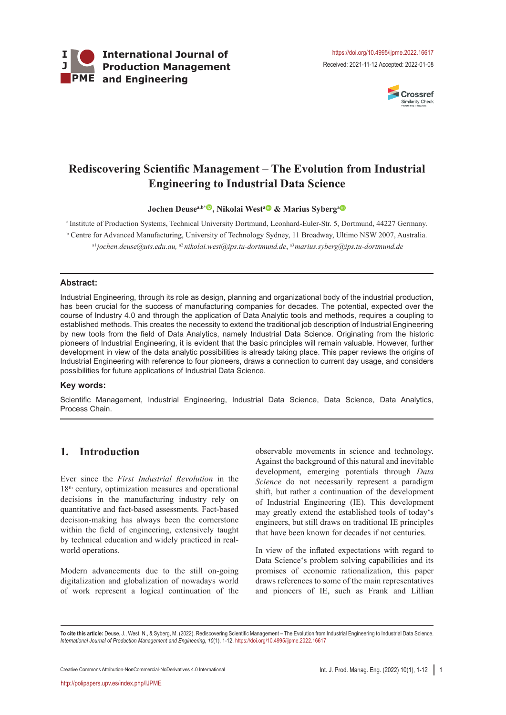

Received: 2021-11-12 Accepted: 2022-01-08



# **Rediscovering Scientific Management – The Evolution from Industrial Engineering to Industrial Data Science**

**Jochen Deusea,b[\\*](https://orcid.org/0000-0003-4066-4357) , Nikolai West[a](https://orcid.org/0000-0002-3657-0211) & Marius Syberg[a](https://orcid.org/0000-0001-8832-4293)**

a Institute of Production Systems, Technical University Dortmund, Leonhard-Euler-Str. 5, Dortmund, 44227 Germany. b Centre for Advanced Manufacturing, University of Technology Sydney, 11 Broadway, Ultimo NSW 2007, Australia.

a1*jochen.deuse@uts.edu.au,* a2 *nikolai.west@ips.tu-dortmund.de*, a3*marius.syberg@ips.tu-dortmund.de*

#### **Abstract:**

Industrial Engineering, through its role as design, planning and organizational body of the industrial production, has been crucial for the success of manufacturing companies for decades. The potential, expected over the course of Industry 4.0 and through the application of Data Analytic tools and methods, requires a coupling to established methods. This creates the necessity to extend the traditional job description of Industrial Engineering by new tools from the field of Data Analytics, namely Industrial Data Science. Originating from the historic pioneers of Industrial Engineering, it is evident that the basic principles will remain valuable. However, further development in view of the data analytic possibilities is already taking place. This paper reviews the origins of Industrial Engineering with reference to four pioneers, draws a connection to current day usage, and considers possibilities for future applications of Industrial Data Science.

#### **Key words:**

Scientific Management, Industrial Engineering, Industrial Data Science, Data Science, Data Analytics, Process Chain.

# **1. Introduction**

Ever since the *First Industrial Revolution* in the 18th century, optimization measures and operational decisions in the manufacturing industry rely on quantitative and fact-based assessments. Fact-based decision-making has always been the cornerstone within the field of engineering, extensively taught by technical education and widely practiced in realworld operations.

Modern advancements due to the still on-going digitalization and globalization of nowadays world of work represent a logical continuation of the observable movements in science and technology. Against the background of this natural and inevitable development, emerging potentials through *Data Science* do not necessarily represent a paradigm shift, but rather a continuation of the development of Industrial Engineering (IE). This development may greatly extend the established tools of today's engineers, but still draws on traditional IE principles that have been known for decades if not centuries.

In view of the inflated expectations with regard to Data Science's problem solving capabilities and its promises of economic rationalization, this paper draws references to some of the main representatives and pioneers of IE, such as Frank and Lillian

Creative Commons [Attribution-NonCommercial-NoDerivatives 4.0 International](http://creativecommons.org/licenses/by-nc-nd/4.0/) Int. J. Prod. Manag. Eng. (2022) 10(1), 1-12 1

**To cite this article:** Deuse, J., West, N., & Syberg, M. (2022). Rediscovering Scientific Management – The Evolution from Industrial Engineering to Industrial Data Science. *International Journal of Production Management and Engineering, 10*(1), 1-12. https://doi.org/10.4995/ijpme.2022.16617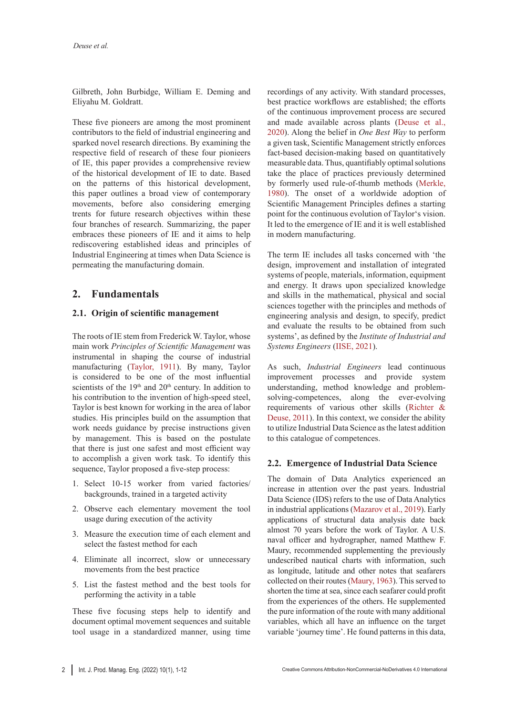Gilbreth, John Burbidge, William E. Deming and Eliyahu M. Goldratt.

These five pioneers are among the most prominent contributors to the field of industrial engineering and sparked novel research directions. By examining the respective field of research of these four pionieers of IE, this paper provides a comprehensive review of the historical development of IE to date. Based on the patterns of this historical development, this paper outlines a broad view of contemporary movements, before also considering emerging trents for future research objectives within these four branches of research. Summarizing, the paper embraces these pioneers of IE and it aims to help rediscovering established ideas and principles of Industrial Engineering at times when Data Science is permeating the manufacturing domain.

# **2. Fundamentals**

#### **2.1. Origin of scientific management**

The roots of IE stem from Frederick W. Taylor, whose main work *Principles of Scientific Management* was instrumental in shaping the course of industrial manufacturing (Taylor, 1911). By many, Taylor is considered to be one of the most influential scientists of the  $19<sup>th</sup>$  and  $20<sup>th</sup>$  century. In addition to his contribution to the invention of high-speed steel, Taylor is best known for working in the area of labor studies. His principles build on the assumption that work needs guidance by precise instructions given by management. This is based on the postulate that there is just one safest and most efficient way to accomplish a given work task. To identify this sequence, Taylor proposed a five-step process:

- 1. Select 10-15 worker from varied factories/ backgrounds, trained in a targeted activity
- 2. Observe each elementary movement the tool usage during execution of the activity
- 3. Measure the execution time of each element and select the fastest method for each
- 4. Eliminate all incorrect, slow or unnecessary movements from the best practice
- 5. List the fastest method and the best tools for performing the activity in a table

These five focusing steps help to identify and document optimal movement sequences and suitable tool usage in a standardized manner, using time recordings of any activity. With standard processes, best practice workflows are established; the efforts of the continuous improvement process are secured and made available across plants (Deuse et al., 2020). Along the belief in *One Best Way* to perform a given task, Scientific Management strictly enforces fact-based decision-making based on quantitatively measurable data. Thus, quantifiably optimal solutions take the place of practices previously determined by formerly used rule-of-thumb methods (Merkle, 1980). The onset of a worldwide adoption of Scientific Management Principles defines a starting point for the continuous evolution of Taylor's vision. It led to the emergence of IE and it is well established in modern manufacturing.

The term IE includes all tasks concerned with 'the design, improvement and installation of integrated systems of people, materials, information, equipment and energy. It draws upon specialized knowledge and skills in the mathematical, physical and social sciences together with the principles and methods of engineering analysis and design, to specify, predict and evaluate the results to be obtained from such systems', as defined by the *Institute of Industrial and Systems Engineers* (IISE, 2021).

As such, *Industrial Engineers* lead continuous improvement processes and provide system understanding, method knowledge and problemsolving-competences, along the ever-evolving requirements of various other skills (Richter & Deuse, 2011). In this context, we consider the ability to utilize Industrial Data Science as the latest addition to this catalogue of competences.

#### **2.2. Emergence of Industrial Data Science**

The domain of Data Analytics experienced an increase in attention over the past years. Industrial Data Science (IDS) refers to the use of Data Analytics in industrial applications (Mazarov et al., 2019). Early applications of structural data analysis date back almost 70 years before the work of Taylor. A U.S. naval officer and hydrographer, named Matthew F. Maury, recommended supplementing the previously undescribed nautical charts with information, such as longitude, latitude and other notes that seafarers collected on their routes (Maury, 1963). This served to shorten the time at sea, since each seafarer could profit from the experiences of the others. He supplemented the pure information of the route with many additional variables, which all have an influence on the target variable 'journey time'. He found patterns in this data,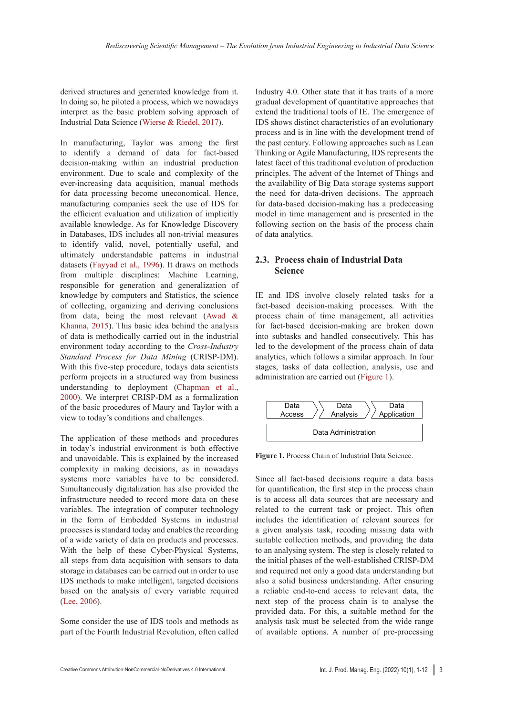derived structures and generated knowledge from it. In doing so, he piloted a process, which we nowadays interpret as the basic problem solving approach of Industrial Data Science (Wierse & Riedel, 2017).

In manufacturing, Taylor was among the first to identify a demand of data for fact-based decision-making within an industrial production environment. Due to scale and complexity of the ever-increasing data acquisition, manual methods for data processing become uneconomical. Hence, manufacturing companies seek the use of IDS for the efficient evaluation and utilization of implicitly available knowledge. As for Knowledge Discovery in Databases, IDS includes all non-trivial measures to identify valid, novel, potentially useful, and ultimately understandable patterns in industrial datasets (Fayyad et al., 1996). It draws on methods from multiple disciplines: Machine Learning, responsible for generation and generalization of knowledge by computers and Statistics, the science of collecting, organizing and deriving conclusions from data, being the most relevant (Awad & Khanna, 2015). This basic idea behind the analysis of data is methodically carried out in the industrial environment today according to the *Cross-Industry Standard Process for Data Mining* (CRISP-DM). With this five-step procedure, todays data scientists perform projects in a structured way from business understanding to deployment (Chapman et al., 2000). We interpret CRISP-DM as a formalization of the basic procedures of Maury and Taylor with a view to today's conditions and challenges.

The application of these methods and procedures in today's industrial environment is both effective and unavoidable. This is explained by the increased complexity in making decisions, as in nowadays systems more variables have to be considered. Simultaneously digitalization has also provided the infrastructure needed to record more data on these variables. The integration of computer technology in the form of Embedded Systems in industrial processes is standard today and enables the recording of a wide variety of data on products and processes. With the help of these Cyber-Physical Systems, all steps from data acquisition with sensors to data storage in databases can be carried out in order to use IDS methods to make intelligent, targeted decisions based on the analysis of every variable required (Lee, 2006).

Some consider the use of IDS tools and methods as part of the Fourth Industrial Revolution, often called

Industry 4.0. Other state that it has traits of a more gradual development of quantitative approaches that extend the traditional tools of IE. The emergence of IDS shows distinct characteristics of an evolutionary process and is in line with the development trend of the past century. Following approaches such as Lean Thinking or Agile Manufacturing, IDS represents the latest facet of this traditional evolution of production principles. The advent of the Internet of Things and the availability of Big Data storage systems support the need for data-driven decisions. The approach for data-based decision-making has a predeceasing model in time management and is presented in the following section on the basis of the process chain of data analytics.

#### **2.3. Process chain of Industrial Data Science**

IE and IDS involve closely related tasks for a fact-based decision-making processes. With the process chain of time management, all activities for fact-based decision-making are broken down into subtasks and handled consecutively. This has led to the development of the process chain of data analytics, which follows a similar approach. In four stages, tasks of data collection, analysis, use and administration are carried out (Figure 1).



**Figure 1.** Process Chain of Industrial Data Science.

Since all fact-based decisions require a data basis for quantification, the first step in the process chain is to access all data sources that are necessary and related to the current task or project. This often includes the identification of relevant sources for a given analysis task, recoding missing data with suitable collection methods, and providing the data to an analysing system. The step is closely related to the initial phases of the well-established CRISP-DM and required not only a good data understanding but also a solid business understanding. After ensuring a reliable end-to-end access to relevant data, the next step of the process chain is to analyse the provided data. For this, a suitable method for the analysis task must be selected from the wide range of available options. A number of pre-processing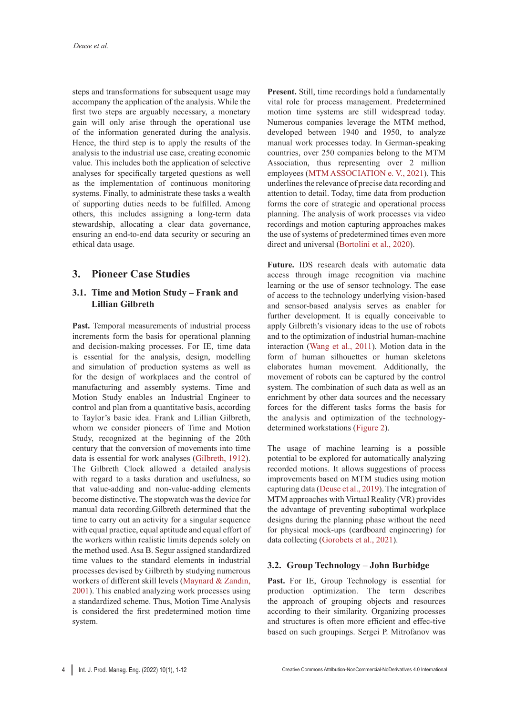steps and transformations for subsequent usage may accompany the application of the analysis. While the first two steps are arguably necessary, a monetary gain will only arise through the operational use of the information generated during the analysis. Hence, the third step is to apply the results of the analysis to the industrial use case, creating economic value. This includes both the application of selective analyses for specifically targeted questions as well as the implementation of continuous monitoring systems. Finally, to administrate these tasks a wealth of supporting duties needs to be fulfilled. Among others, this includes assigning a long-term data stewardship, allocating a clear data governance, ensuring an end-to-end data security or securing an ethical data usage.

# **3. Pioneer Case Studies**

#### **3.1. Time and Motion Study – Frank and Lillian Gilbreth**

Past. Temporal measurements of industrial process increments form the basis for operational planning and decision-making processes. For IE, time data is essential for the analysis, design, modelling and simulation of production systems as well as for the design of workplaces and the control of manufacturing and assembly systems. Time and Motion Study enables an Industrial Engineer to control and plan from a quantitative basis, according to Taylor's basic idea. Frank and Lillian Gilbreth, whom we consider pioneers of Time and Motion Study, recognized at the beginning of the 20th century that the conversion of movements into time data is essential for work analyses (Gilbreth, 1912). The Gilbreth Clock allowed a detailed analysis with regard to a tasks duration and usefulness, so that value-adding and non-value-adding elements become distinctive. The stopwatch was the device for manual data recording.Gilbreth determined that the time to carry out an activity for a singular sequence with equal practice, equal aptitude and equal effort of the workers within realistic limits depends solely on the method used. Asa B. Segur assigned standardized time values to the standard elements in industrial processes devised by Gilbreth by studying numerous workers of different skill levels (Maynard & Zandin, 2001). This enabled analyzing work processes using a standardized scheme. Thus, Motion Time Analysis is considered the first predetermined motion time system.

**Present.** Still, time recordings hold a fundamentally vital role for process management. Predetermined motion time systems are still widespread today. Numerous companies leverage the MTM method, developed between 1940 and 1950, to analyze manual work processes today. In German-speaking countries, over 250 companies belong to the MTM Association, thus representing over 2 million employees (MTM ASSOCIATION e. V., 2021). This underlines the relevance of precise data recording and attention to detail. Today, time data from production forms the core of strategic and operational process planning. The analysis of work processes via video recordings and motion capturing approaches makes the use of systems of predetermined times even more direct and universal (Bortolini et al., 2020).

**Future.** IDS research deals with automatic data access through image recognition via machine learning or the use of sensor technology. The ease of access to the technology underlying vision-based and sensor-based analysis serves as enabler for further development. It is equally conceivable to apply Gilbreth's visionary ideas to the use of robots and to the optimization of industrial human-machine interaction (Wang et al., 2011). Motion data in the form of human silhouettes or human skeletons elaborates human movement. Additionally, the movement of robots can be captured by the control system. The combination of such data as well as an enrichment by other data sources and the necessary forces for the different tasks forms the basis for the analysis and optimization of the technologydetermined workstations (Figure 2).

The usage of machine learning is a possible potential to be explored for automatically analyzing recorded motions. It allows suggestions of process improvements based on MTM studies using motion capturing data (Deuse et al., 2019). The integration of MTM approaches with Virtual Reality (VR) provides the advantage of preventing suboptimal workplace designs during the planning phase without the need for physical mock-ups (cardboard engineering) for data collecting (Gorobets et al., 2021).

## **3.2. Group Technology – John Burbidge**

Past. For IE, Group Technology is essential for production optimization. The term describes the approach of grouping objects and resources according to their similarity. Organizing processes and structures is often more efficient and effec-tive based on such groupings. Sergei P. Mitrofanov was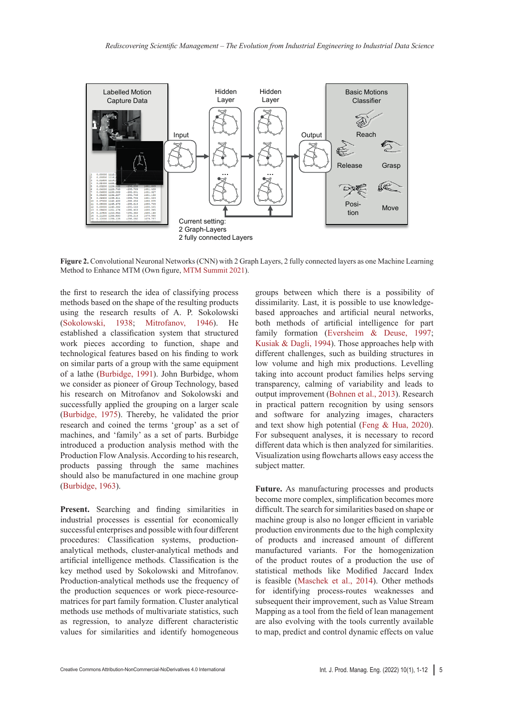

**Figure 2.** Convolutional Neuronal Networks (CNN) with 2 Graph Layers, 2 fully connected layers as one Machine Learning Method to Enhance MTM (Own figure, MTM Summit 2021).

the first to research the idea of classifying process methods based on the shape of the resulting products using the research results of A. P. Sokolowski (Sokolowski, 1938; Mitrofanov, 1946). He established a classification system that structured work pieces according to function, shape and technological features based on his finding to work on similar parts of a group with the same equipment of a lathe (Burbidge, 1991). John Burbidge, whom we consider as pioneer of Group Technology, based his research on Mitrofanov and Sokolowski and successfully applied the grouping on a larger scale (Burbidge, 1975). Thereby, he validated the prior research and coined the terms 'group' as a set of machines, and 'family' as a set of parts. Burbidge introduced a production analysis method with the Production Flow Analysis. According to his research, products passing through the same machines should also be manufactured in one machine group (Burbidge, 1963).

**Present.** Searching and finding similarities in industrial processes is essential for economically successful enterprises and possible with four different procedures: Classification systems, productionanalytical methods, cluster-analytical methods and artificial intelligence methods. Classification is the key method used by Sokolowski and Mitrofanov. Production-analytical methods use the frequency of the production sequences or work piece-resourcematrices for part family formation. Cluster analytical methods use methods of multivariate statistics, such as regression, to analyze different characteristic values for similarities and identify homogeneous groups between which there is a possibility of dissimilarity. Last, it is possible to use knowledgebased approaches and artificial neural networks, both methods of artificial intelligence for part family formation (Eversheim & Deuse, 1997; Kusiak & Dagli, 1994). Those approaches help with different challenges, such as building structures in low volume and high mix productions. Levelling taking into account product families helps serving transparency, calming of variability and leads to output improvement (Bohnen et al., 2013). Research in practical pattern recognition by using sensors and software for analyzing images, characters and text show high potential (Feng & Hua, 2020). For subsequent analyses, it is necessary to record different data which is then analyzed for similarities. Visualization using flowcharts allows easy access the subject matter.

**Future.** As manufacturing processes and products become more complex, simplification becomes more difficult. The search for similarities based on shape or machine group is also no longer efficient in variable production environments due to the high complexity of products and increased amount of different manufactured variants. For the homogenization of the product routes of a production the use of statistical methods like Modified Jaccard Index is feasible (Maschek et al., 2014). Other methods for identifying process-routes weaknesses and subsequent their improvement, such as Value Stream Mapping as a tool from the field of lean management are also evolving with the tools currently available to map, predict and control dynamic effects on value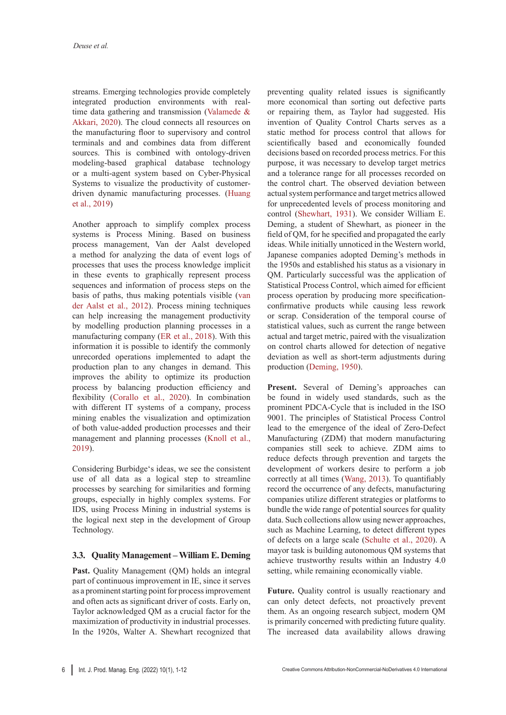streams. Emerging technologies provide completely integrated production environments with realtime data gathering and transmission (Valamede & Akkari, 2020). The cloud connects all resources on the manufacturing floor to supervisory and control terminals and and combines data from different sources. This is combined with ontology-driven modeling-based graphical database technology or a multi-agent system based on Cyber-Physical Systems to visualize the productivity of customerdriven dynamic manufacturing processes. (Huang et al., 2019)

Another approach to simplify complex process systems is Process Mining. Based on business process management, Van der Aalst developed a method for analyzing the data of event logs of processes that uses the process knowledge implicit in these events to graphically represent process sequences and information of process steps on the basis of paths, thus making potentials visible (van der Aalst et al., 2012). Process mining techniques can help increasing the management productivity by modelling production planning processes in a manufacturing company (ER et al., 2018). With this information it is possible to identify the commonly unrecorded operations implemented to adapt the production plan to any changes in demand. This improves the ability to optimize its production process by balancing production efficiency and flexibility (Corallo et al., 2020). In combination with different IT systems of a company, process mining enables the visualization and optimization of both value-added production processes and their management and planning processes (Knoll et al., 2019).

Considering Burbidge's ideas, we see the consistent use of all data as a logical step to streamline processes by searching for similarities and forming groups, especially in highly complex systems. For IDS, using Process Mining in industrial systems is the logical next step in the development of Group Technology.

## **3.3. Quality Management – William E. Deming**

**Past.** Quality Management (QM) holds an integral part of continuous improvement in IE, since it serves as a prominent starting point for process improvement and often acts as significant driver of costs. Early on, Taylor acknowledged QM as a crucial factor for the maximization of productivity in industrial processes. In the 1920s, Walter A. Shewhart recognized that preventing quality related issues is significantly more economical than sorting out defective parts or repairing them, as Taylor had suggested. His invention of Quality Control Charts serves as a static method for process control that allows for scientifically based and economically founded decisions based on recorded process metrics. For this purpose, it was necessary to develop target metrics and a tolerance range for all processes recorded on the control chart. The observed deviation between actual system performance and target metrics allowed for unprecedented levels of process monitoring and control (Shewhart, 1931). We consider William E. Deming, a student of Shewhart, as pioneer in the field of QM, for he specified and propagated the early ideas. While initially unnoticed in the Western world, Japanese companies adopted Deming's methods in the 1950s and established his status as a visionary in QM. Particularly successful was the application of Statistical Process Control, which aimed for efficient process operation by producing more specificationconfirmative products while causing less rework or scrap. Consideration of the temporal course of statistical values, such as current the range between actual and target metric, paired with the visualization on control charts allowed for detection of negative deviation as well as short-term adjustments during production (Deming, 1950).

**Present.** Several of Deming's approaches can be found in widely used standards, such as the prominent PDCA-Cycle that is included in the ISO 9001. The principles of Statistical Process Control lead to the emergence of the ideal of Zero-Defect Manufacturing (ZDM) that modern manufacturing companies still seek to achieve. ZDM aims to reduce defects through prevention and targets the development of workers desire to perform a job correctly at all times (Wang, 2013). To quantifiably record the occurrence of any defects, manufacturing companies utilize different strategies or platforms to bundle the wide range of potential sources for quality data. Such collections allow using newer approaches, such as Machine Learning, to detect different types of defects on a large scale (Schulte et al., 2020). A mayor task is building autonomous QM systems that achieve trustworthy results within an Industry 4.0 setting, while remaining economically viable.

**Future.** Quality control is usually reactionary and can only detect defects, not proactively prevent them. As an ongoing research subject, modern QM is primarily concerned with predicting future quality. The increased data availability allows drawing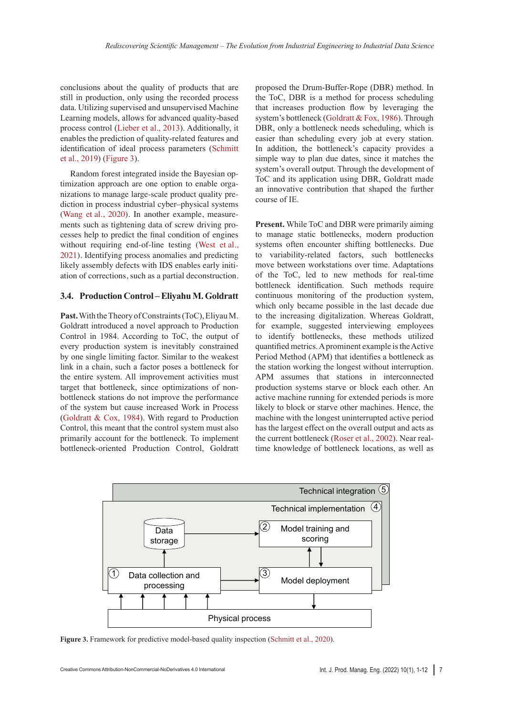conclusions about the quality of products that are still in production, only using the recorded process data. Utilizing supervised and unsupervised Machine Learning models, allows for advanced quality-based process control (Lieber et al., 2013). Additionally, it enables the prediction of quality-related features and identification of ideal process parameters (Schmitt et al., 2019) (Figure 3).

Random forest integrated inside the Bayesian optimization approach are one option to enable organizations to manage large-scale product quality prediction in process industrial cyber–physical systems (Wang et al., 2020). In another example, measurements such as tightening data of screw driving processes help to predict the final condition of engines without requiring end-of-line testing (West et al., 2021). Identifying process anomalies and predicting likely assembly defects with IDS enables early initiation of corrections, such as a partial deconstruction.

#### **3.4. Production Control – Eliyahu M. Goldratt**

**Past.** With the Theory of Constraints (ToC), Eliyau M. Goldratt introduced a novel approach to Production Control in 1984. According to ToC, the output of every production system is inevitably constrained by one single limiting factor. Similar to the weakest link in a chain, such a factor poses a bottleneck for the entire system. All improvement activities must target that bottleneck, since optimizations of nonbottleneck stations do not improve the performance of the system but cause increased Work in Process (Goldratt & Cox, 1984). With regard to Production Control, this meant that the control system must also primarily account for the bottleneck. To implement bottleneck-oriented Production Control, Goldratt

proposed the Drum-Buffer-Rope (DBR) method. In the ToC, DBR is a method for process scheduling that increases production flow by leveraging the system's bottleneck (Goldratt & Fox, 1986). Through DBR, only a bottleneck needs scheduling, which is easier than scheduling every job at every station. In addition, the bottleneck's capacity provides a simple way to plan due dates, since it matches the system's overall output. Through the development of ToC and its application using DBR, Goldratt made an innovative contribution that shaped the further course of IE.

**Present.** While ToC and DBR were primarily aiming to manage static bottlenecks, modern production systems often encounter shifting bottlenecks. Due to variability-related factors, such bottlenecks move between workstations over time. Adaptations of the ToC, led to new methods for real-time bottleneck identification. Such methods require continuous monitoring of the production system, which only became possible in the last decade due to the increasing digitalization. Whereas Goldratt, for example, suggested interviewing employees to identify bottlenecks, these methods utilized quantified metrics. A prominent example is the Active Period Method (APM) that identifies a bottleneck as the station working the longest without interruption. APM assumes that stations in interconnected production systems starve or block each other. An active machine running for extended periods is more likely to block or starve other machines. Hence, the machine with the longest uninterrupted active period has the largest effect on the overall output and acts as the current bottleneck (Roser et al., 2002). Near realtime knowledge of bottleneck locations, as well as



**Figure 3.** Framework for predictive model-based quality inspection (Schmitt et al., 2020).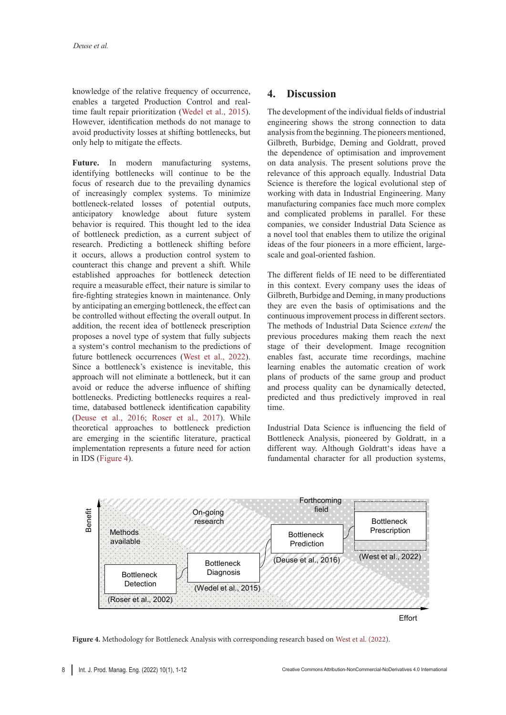knowledge of the relative frequency of occurrence, enables a targeted Production Control and realtime fault repair prioritization (Wedel et al., 2015). However, identification methods do not manage to avoid productivity losses at shifting bottlenecks, but only help to mitigate the effects.

Future. In modern manufacturing systems, identifying bottlenecks will continue to be the focus of research due to the prevailing dynamics of increasingly complex systems. To minimize bottleneck-related losses of potential outputs, anticipatory knowledge about future system behavior is required. This thought led to the idea of bottleneck prediction, as a current subject of research. Predicting a bottleneck shifting before it occurs, allows a production control system to counteract this change and prevent a shift. While established approaches for bottleneck detection require a measurable effect, their nature is similar to fire-fighting strategies known in maintenance. Only by anticipating an emerging bottleneck, the effect can be controlled without effecting the overall output. In addition, the recent idea of bottleneck prescription proposes a novel type of system that fully subjects a system's control mechanism to the predictions of future bottleneck occurrences (West et al., 2022). Since a bottleneck's existence is inevitable, this approach will not eliminate a bottleneck, but it can avoid or reduce the adverse influence of shifting bottlenecks. Predicting bottlenecks requires a realtime, databased bottleneck identification capability (Deuse et al., 2016; Roser et al., 2017). While theoretical approaches to bottleneck prediction are emerging in the scientific literature, practical implementation represents a future need for action in IDS (Figure 4).

# **4. Discussion**

The development of the individual fields of industrial engineering shows the strong connection to data analysis from the beginning. The pioneers mentioned, Gilbreth, Burbidge, Deming and Goldratt, proved the dependence of optimisation and improvement on data analysis. The present solutions prove the relevance of this approach equally. Industrial Data Science is therefore the logical evolutional step of working with data in Industrial Engineering. Many manufacturing companies face much more complex and complicated problems in parallel. For these companies, we consider Industrial Data Science as a novel tool that enables them to utilize the original ideas of the four pioneers in a more efficient, largescale and goal-oriented fashion.

The different fields of IE need to be differentiated in this context. Every company uses the ideas of Gilbreth, Burbidge and Deming, in many productions they are even the basis of optimisations and the continuous improvement process in different sectors. The methods of Industrial Data Science *extend* the previous procedures making them reach the next stage of their development. Image recognition enables fast, accurate time recordings, machine learning enables the automatic creation of work plans of products of the same group and product and process quality can be dynamically detected, predicted and thus predictively improved in real time.

Industrial Data Science is influencing the field of Bottleneck Analysis, pioneered by Goldratt, in a different way. Although Goldratt's ideas have a fundamental character for all production systems,

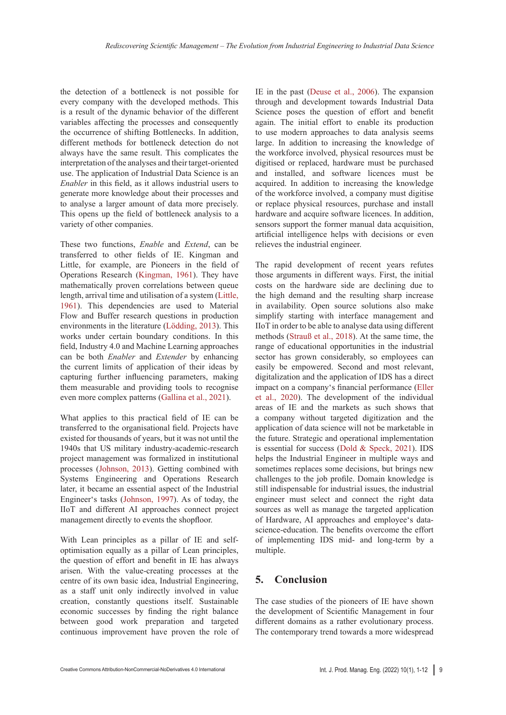the detection of a bottleneck is not possible for every company with the developed methods. This is a result of the dynamic behavior of the different variables affecting the processes and consequently the occurrence of shifting Bottlenecks. In addition, different methods for bottleneck detection do not always have the same result. This complicates the interpretation of the analyses and their target-oriented use. The application of Industrial Data Science is an *Enabler* in this field, as it allows industrial users to generate more knowledge about their processes and to analyse a larger amount of data more precisely. This opens up the field of bottleneck analysis to a variety of other companies.

These two functions, *Enable* and *Extend*, can be transferred to other fields of IE. Kingman and Little, for example, are Pioneers in the field of Operations Research (Kingman, 1961). They have mathematically proven correlations between queue length, arrival time and utilisation of a system (Little, 1961). This dependencies are used to Material Flow and Buffer research questions in production environments in the literature (Lödding, 2013). This works under certain boundary conditions. In this field, Industry 4.0 and Machine Learning approaches can be both *Enabler* and *Extender* by enhancing the current limits of application of their ideas by capturing further influencing parameters, making them measurable and providing tools to recognise even more complex patterns (Gallina et al., 2021).

What applies to this practical field of IE can be transferred to the organisational field. Projects have existed for thousands of years, but it was not until the 1940s that US military industry-academic-research project management was formalized in institutional processes (Johnson, 2013). Getting combined with Systems Engineering and Operations Research later, it became an essential aspect of the Industrial Engineer's tasks (Johnson, 1997). As of today, the IIoT and different AI approaches connect project management directly to events the shopfloor.

With Lean principles as a pillar of IE and selfoptimisation equally as a pillar of Lean principles, the question of effort and benefit in IE has always arisen. With the value-creating processes at the centre of its own basic idea, Industrial Engineering, as a staff unit only indirectly involved in value creation, constantly questions itself. Sustainable economic successes by finding the right balance between good work preparation and targeted continuous improvement have proven the role of

IE in the past (Deuse et al., 2006). The expansion through and development towards Industrial Data Science poses the question of effort and benefit again. The initial effort to enable its production to use modern approaches to data analysis seems large. In addition to increasing the knowledge of the workforce involved, physical resources must be digitised or replaced, hardware must be purchased and installed, and software licences must be acquired. In addition to increasing the knowledge of the workforce involved, a company must digitise or replace physical resources, purchase and install hardware and acquire software licences. In addition, sensors support the former manual data acquisition, artificial intelligence helps with decisions or even relieves the industrial engineer.

The rapid development of recent years refutes those arguments in different ways. First, the initial costs on the hardware side are declining due to the high demand and the resulting sharp increase in availability. Open source solutions also make simplify starting with interface management and IIoT in order to be able to analyse data using different methods (Strauß et al., 2018). At the same time, the range of educational opportunities in the industrial sector has grown considerably, so employees can easily be empowered. Second and most relevant, digitalization and the application of IDS has a direct impact on a company's financial performance (Eller et al., 2020). The development of the individual areas of IE and the markets as such shows that a company without targeted digitization and the application of data science will not be marketable in the future. Strategic and operational implementation is essential for success (Dold & Speck, 2021). IDS helps the Industrial Engineer in multiple ways and sometimes replaces some decisions, but brings new challenges to the job profile. Domain knowledge is still indispensable for industrial issues, the industrial engineer must select and connect the right data sources as well as manage the targeted application of Hardware, AI approaches and employee's datascience-education. The benefits overcome the effort of implementing IDS mid- and long-term by a multiple.

## **5. Conclusion**

The case studies of the pioneers of IE have shown the development of Scientific Management in four different domains as a rather evolutionary process. The contemporary trend towards a more widespread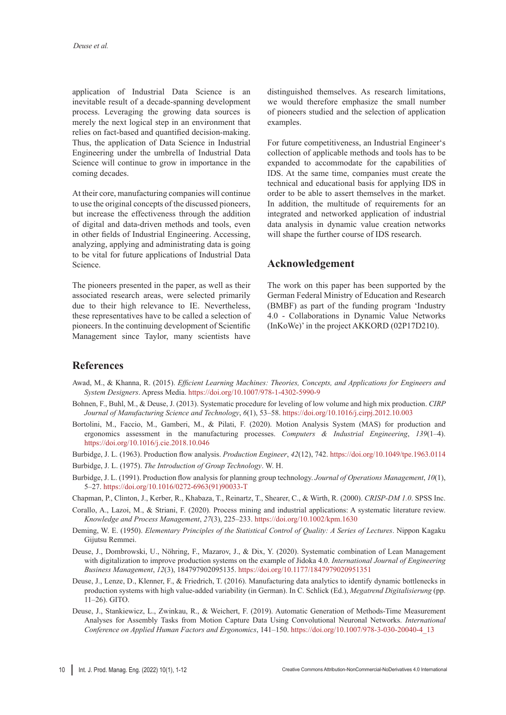application of Industrial Data Science is an inevitable result of a decade-spanning development process. Leveraging the growing data sources is merely the next logical step in an environment that relies on fact-based and quantified decision-making. Thus, the application of Data Science in Industrial Engineering under the umbrella of Industrial Data Science will continue to grow in importance in the coming decades.

At their core, manufacturing companies will continue to use the original concepts of the discussed pioneers, but increase the effectiveness through the addition of digital and data-driven methods and tools, even in other fields of Industrial Engineering. Accessing, analyzing, applying and administrating data is going to be vital for future applications of Industrial Data Science.

The pioneers presented in the paper, as well as their associated research areas, were selected primarily due to their high relevance to IE. Nevertheless, these representatives have to be called a selection of pioneers. In the continuing development of Scientific Management since Taylor, many scientists have

distinguished themselves. As research limitations, we would therefore emphasize the small number of pioneers studied and the selection of application examples.

For future competitiveness, an Industrial Engineer's collection of applicable methods and tools has to be expanded to accommodate for the capabilities of IDS. At the same time, companies must create the technical and educational basis for applying IDS in order to be able to assert themselves in the market. In addition, the multitude of requirements for an integrated and networked application of industrial data analysis in dynamic value creation networks will shape the further course of IDS research.

# **Acknowledgement**

The work on this paper has been supported by the German Federal Ministry of Education and Research (BMBF) as part of the funding program 'Industry 4.0 - Collaborations in Dynamic Value Networks (InKoWe)' in the project AKKORD (02P17D210).

## **References**

- Awad, M., & Khanna, R. (2015). *Efficient Learning Machines: Theories, Concepts, and Applications for Engineers and System Designers*. Apress Media. <https://doi.org/10.1007/978-1-4302-5990-9>
- Bohnen, F., Buhl, M., & Deuse, J. (2013). Systematic procedure for leveling of low volume and high mix production. *CIRP Journal of Manufacturing Science and Technology*, *6*(1), 53–58. <https://doi.org/10.1016/j.cirpj.2012.10.003>
- Bortolini, M., Faccio, M., Gamberi, M., & Pilati, F. (2020). Motion Analysis System (MAS) for production and ergonomics assessment in the manufacturing processes. *Computers & Industrial Engineering*, *139*(1–4). <https://doi.org/10.1016/j.cie.2018.10.046>
- Burbidge, J. L. (1963). Production flow analysis. *Production Engineer*, *42*(12), 742. <https://doi.org/10.1049/tpe.1963.0114>
- Burbidge, J. L. (1975). *The Introduction of Group Technology*. W. H.
- Burbidge, J. L. (1991). Production flow analysis for planning group technology. *Journal of Operations Management*, *10*(1), 5–27. [https://doi.org/10.1016/0272-6963\(91\)90033-T](https://doi.org/10.1016/0272-6963(91)90033-T)
- Chapman, P., Clinton, J., Kerber, R., Khabaza, T., Reinartz, T., Shearer, C., & Wirth, R. (2000). *CRISP-DM 1.0*. SPSS Inc.
- Corallo, A., Lazoi, M., & Striani, F. (2020). Process mining and industrial applications: A systematic literature review. *Knowledge and Process Management*, *27*(3), 225–233. <https://doi.org/10.1002/kpm.1630>
- Deming, W. E. (1950). *Elementary Principles of the Statistical Control of Quality: A Series of Lectures*. Nippon Kagaku Gijutsu Remmei.
- Deuse, J., Dombrowski, U., Nöhring, F., Mazarov, J., & Dix, Y. (2020). Systematic combination of Lean Management with digitalization to improve production systems on the example of Jidoka 4.0. *International Journal of Engineering Business Management*, *12*(3), 184797902095135. <https://doi.org/10.1177/1847979020951351>
- Deuse, J., Lenze, D., Klenner, F., & Friedrich, T. (2016). Manufacturing data analytics to identify dynamic bottlenecks in production systems with high value-added variability (in German). In C. Schlick (Ed.), *Megatrend Digitalisierung* (pp. 11–26). GITO.
- Deuse, J., Stankiewicz, L., Zwinkau, R., & Weichert, F. (2019). Automatic Generation of Methods-Time Measurement Analyses for Assembly Tasks from Motion Capture Data Using Convolutional Neuronal Networks. *International Conference on Applied Human Factors and Ergonomics*, 141–150. [https://doi.org/10.1007/978-3-030-20040-4\\_13](https://doi.org/10.1007/978-3-030-20040-4_13)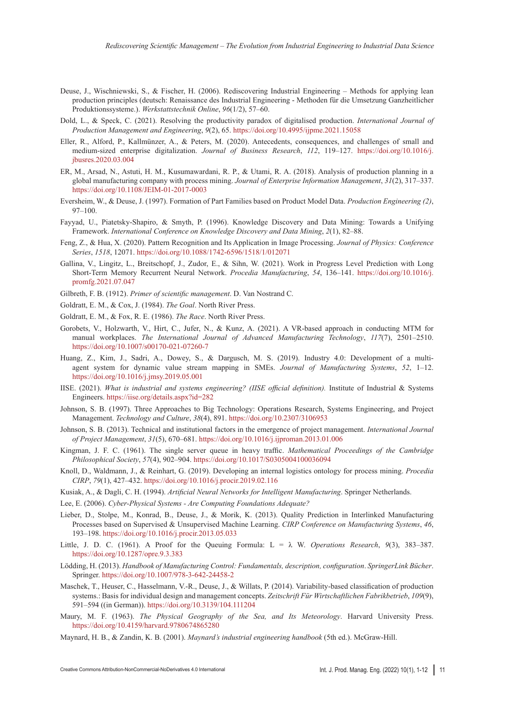- Deuse, J., Wischniewski, S., & Fischer, H. (2006). Rediscovering Industrial Engineering Methods for applying lean production principles (deutsch: Renaissance des Industrial Engineering - Methoden für die Umsetzung Ganzheitlicher Produktionssysteme.). *Werkstattstechnik Online*, *96*(1/2), 57–60.
- Dold, L., & Speck, C. (2021). Resolving the productivity paradox of digitalised production. *International Journal of Production Management and Engineering*, *9*(2), 65. <https://doi.org/10.4995/ijpme.2021.15058>
- Eller, R., Alford, P., Kallmünzer, A., & Peters, M. (2020). Antecedents, consequences, and challenges of small and medium-sized enterprise digitalization. *Journal of Business Research*, *112*, 119–127. [https://doi.org/10.1016/j.](https://doi.org/10.1016/j.jbusres.2020.03.004) [jbusres.2020.03.004](https://doi.org/10.1016/j.jbusres.2020.03.004)
- ER, M., Arsad, N., Astuti, H. M., Kusumawardani, R. P., & Utami, R. A. (2018). Analysis of production planning in a global manufacturing company with process mining. *Journal of Enterprise Information Management*, *31*(2), 317–337. <https://doi.org/10.1108/JEIM-01-2017-0003>
- Eversheim, W., & Deuse, J. (1997). Formation of Part Families based on Product Model Data. *Production Engineering (2)*, 97–100.
- Fayyad, U., Piatetsky-Shapiro, & Smyth, P. (1996). Knowledge Discovery and Data Mining: Towards a Unifying Framework. *International Conference on Knowledge Discovery and Data Mining*, *2*(1), 82–88.
- Feng, Z., & Hua, X. (2020). Pattern Recognition and Its Application in Image Processing. *Journal of Physics: Conference Series*, *1518*, 12071. <https://doi.org/10.1088/1742-6596/1518/1/012071>
- Gallina, V., Lingitz, L., Breitschopf, J., Zudor, E., & Sihn, W. (2021). Work in Progress Level Prediction with Long Short-Term Memory Recurrent Neural Network. *Procedia Manufacturing*, *54*, 136–141. [https://doi.org/10.1016/j.](https://doi.org/10.1016/j.promfg.2021.07.047) [promfg.2021.07.047](https://doi.org/10.1016/j.promfg.2021.07.047)
- Gilbreth, F. B. (1912). *Primer of scientific management*. D. Van Nostrand C.
- Goldratt, E. M., & Cox, J. (1984). *The Goal*. North River Press.
- Goldratt, E. M., & Fox, R. E. (1986). *The Race*. North River Press.
- Gorobets, V., Holzwarth, V., Hirt, C., Jufer, N., & Kunz, A. (2021). A VR-based approach in conducting MTM for manual workplaces. *The International Journal of Advanced Manufacturing Technology*, *117*(7), 2501–2510. <https://doi.org/10.1007/s00170-021-07260-7>
- Huang, Z., Kim, J., Sadri, A., Dowey, S., & Dargusch, M. S. (2019). Industry 4.0: Development of a multiagent system for dynamic value stream mapping in SMEs. *Journal of Manufacturing Systems*, *52*, 1–12. <https://doi.org/10.1016/j.jmsy.2019.05.001>
- IISE. (2021). *What is industrial and systems engineering? (IISE official definition).* Institute of Industrial & Systems Engineers. <https://iise.org/details.aspx?id=282>
- Johnson, S. B. (1997). Three Approaches to Big Technology: Operations Research, Systems Engineering, and Project Management. *Technology and Culture*, *38*(4), 891. <https://doi.org/10.2307/3106953>
- Johnson, S. B. (2013). Technical and institutional factors in the emergence of project management. *International Journal of Project Management*, *31*(5), 670–681. <https://doi.org/10.1016/j.ijproman.2013.01.006>
- Kingman, J. F. C. (1961). The single server queue in heavy traffic. *Mathematical Proceedings of the Cambridge Philosophical Society*, *57*(4), 902–904. <https://doi.org/10.1017/S0305004100036094>
- Knoll, D., Waldmann, J., & Reinhart, G. (2019). Developing an internal logistics ontology for process mining. *Procedia CIRP*, *79*(1), 427–432. <https://doi.org/10.1016/j.procir.2019.02.116>
- Kusiak, A., & Dagli, C. H. (1994). *Artificial Neural Networks for Intelligent Manufacturing*. Springer Netherlands.
- Lee, E. (2006). *Cyber-Physical Systems Are Computing Foundations Adequate?*
- Lieber, D., Stolpe, M., Konrad, B., Deuse, J., & Morik, K. (2013). Quality Prediction in Interlinked Manufacturing Processes based on Supervised & Unsupervised Machine Learning. *CIRP Conference on Manufacturing Systems*, *46*, 193–198. <https://doi.org/10.1016/j.procir.2013.05.033>
- Little, J. D. C. (1961). A Proof for the Queuing Formula:  $L = \lambda$  W. *Operations Research*, 9(3), 383-387. <https://doi.org/10.1287/opre.9.3.383>
- Lödding, H. (2013). *Handbook of Manufacturing Control: Fundamentals, description, configuration*. *SpringerLink Bücher*. Springer. <https://doi.org/10.1007/978-3-642-24458-2>
- Maschek, T., Heuser, C., Hasselmann, V.-R., Deuse, J., & Willats, P. (2014). Variability-based classification of production systems.: Basis for individual design and management concepts. *Zeitschrift Für Wirtschaftlichen Fabrikbetrieb*, *109*(9), 591–594 ((in German)). <https://doi.org/10.3139/104.111204>
- Maury, M. F. (1963). *The Physical Geography of the Sea, and Its Meteorology*. Harvard University Press. <https://doi.org/10.4159/harvard.9780674865280>
- Maynard, H. B., & Zandin, K. B. (2001). *Maynard's industrial engineering handbook* (5th ed.). McGraw-Hill.